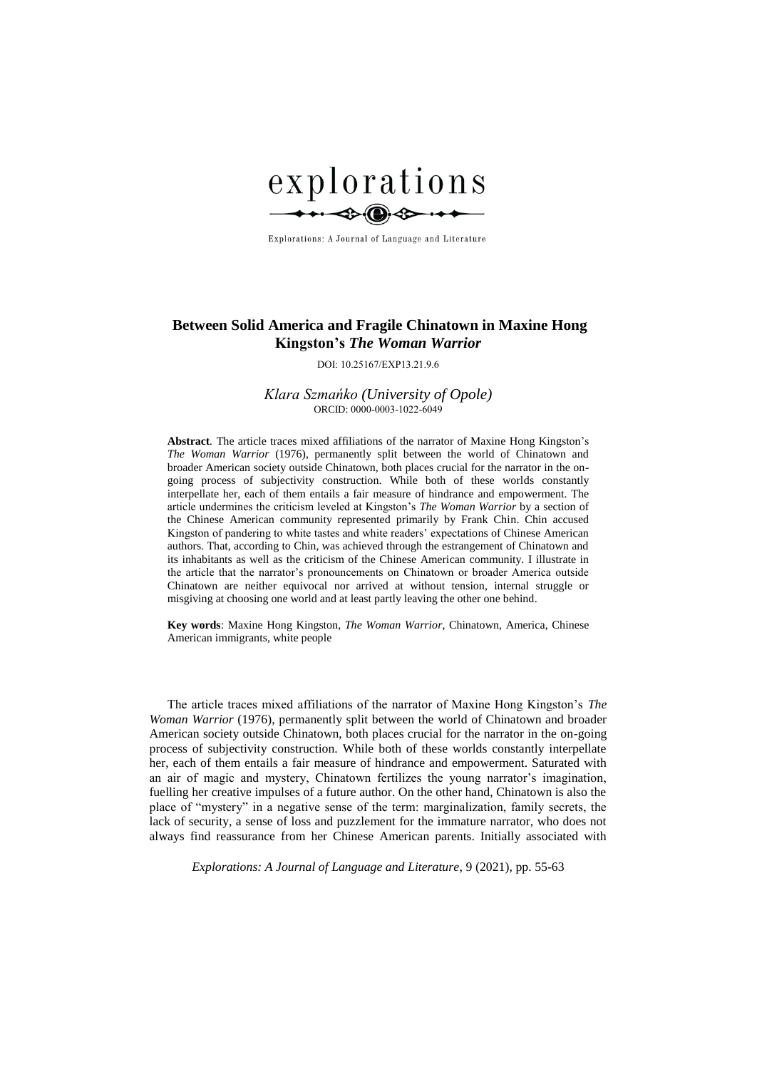

Explorations: A Journal of Language and Literature

# **Between Solid America and Fragile Chinatown in Maxine Hong Kingston's** *The Woman Warrior*

DOI: 10.25167/EXP13.21.9.6

*Klara Szmańko (University of Opole)* ORCID: 0000-0003-1022-6049

**Abstract***.* The article traces mixed affiliations of the narrator of Maxine Hong Kingston's *The Woman Warrior* (1976), permanently split between the world of Chinatown and broader American society outside Chinatown, both places crucial for the narrator in the ongoing process of subjectivity construction. While both of these worlds constantly interpellate her, each of them entails a fair measure of hindrance and empowerment. The article undermines the criticism leveled at Kingston's *The Woman Warrior* by a section of the Chinese American community represented primarily by Frank Chin. Chin accused Kingston of pandering to white tastes and white readers' expectations of Chinese American authors. That, according to Chin, was achieved through the estrangement of Chinatown and its inhabitants as well as the criticism of the Chinese American community. I illustrate in the article that the narrator's pronouncements on Chinatown or broader America outside Chinatown are neither equivocal nor arrived at without tension, internal struggle or misgiving at choosing one world and at least partly leaving the other one behind.

**Key words**: Maxine Hong Kingston, *The Woman Warrior*, Chinatown, America, Chinese American immigrants, white people

The article traces mixed affiliations of the narrator of Maxine Hong Kingston's *The Woman Warrior* (1976), permanently split between the world of Chinatown and broader American society outside Chinatown, both places crucial for the narrator in the on-going process of subjectivity construction. While both of these worlds constantly interpellate her, each of them entails a fair measure of hindrance and empowerment. Saturated with an air of magic and mystery, Chinatown fertilizes the young narrator's imagination, fuelling her creative impulses of a future author. On the other hand, Chinatown is also the place of "mystery" in a negative sense of the term: marginalization, family secrets, the lack of security, a sense of loss and puzzlement for the immature narrator, who does not always find reassurance from her Chinese American parents. Initially associated with

*Explorations: A Journal of Language and Literature*, 9 (2021), pp. 55-63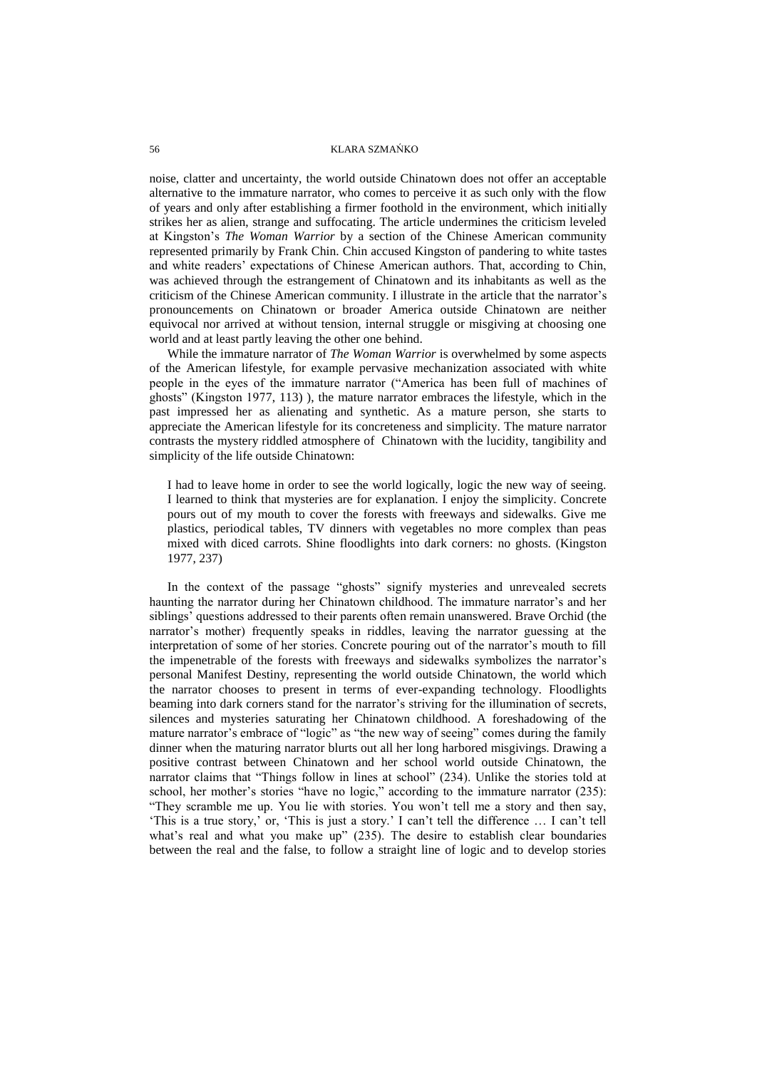noise, clatter and uncertainty, the world outside Chinatown does not offer an acceptable alternative to the immature narrator, who comes to perceive it as such only with the flow of years and only after establishing a firmer foothold in the environment, which initially strikes her as alien, strange and suffocating. The article undermines the criticism leveled at Kingston's *The Woman Warrior* by a section of the Chinese American community represented primarily by Frank Chin. Chin accused Kingston of pandering to white tastes and white readers' expectations of Chinese American authors. That, according to Chin, was achieved through the estrangement of Chinatown and its inhabitants as well as the criticism of the Chinese American community. I illustrate in the article that the narrator's pronouncements on Chinatown or broader America outside Chinatown are neither equivocal nor arrived at without tension, internal struggle or misgiving at choosing one world and at least partly leaving the other one behind.

While the immature narrator of *The Woman Warrior* is overwhelmed by some aspects of the American lifestyle, for example pervasive mechanization associated with white people in the eyes of the immature narrator ("America has been full of machines of ghosts" (Kingston 1977, 113) ), the mature narrator embraces the lifestyle, which in the past impressed her as alienating and synthetic. As a mature person, she starts to appreciate the American lifestyle for its concreteness and simplicity. The mature narrator contrasts the mystery riddled atmosphere of Chinatown with the lucidity, tangibility and simplicity of the life outside Chinatown:

I had to leave home in order to see the world logically, logic the new way of seeing. I learned to think that mysteries are for explanation. I enjoy the simplicity. Concrete pours out of my mouth to cover the forests with freeways and sidewalks. Give me plastics, periodical tables, TV dinners with vegetables no more complex than peas mixed with diced carrots. Shine floodlights into dark corners: no ghosts. (Kingston 1977, 237)

In the context of the passage "ghosts" signify mysteries and unrevealed secrets haunting the narrator during her Chinatown childhood. The immature narrator's and her siblings' questions addressed to their parents often remain unanswered. Brave Orchid (the narrator's mother) frequently speaks in riddles, leaving the narrator guessing at the interpretation of some of her stories. Concrete pouring out of the narrator's mouth to fill the impenetrable of the forests with freeways and sidewalks symbolizes the narrator's personal Manifest Destiny, representing the world outside Chinatown, the world which the narrator chooses to present in terms of ever-expanding technology. Floodlights beaming into dark corners stand for the narrator's striving for the illumination of secrets, silences and mysteries saturating her Chinatown childhood. A foreshadowing of the mature narrator's embrace of "logic" as "the new way of seeing" comes during the family dinner when the maturing narrator blurts out all her long harbored misgivings. Drawing a positive contrast between Chinatown and her school world outside Chinatown, the narrator claims that "Things follow in lines at school" (234). Unlike the stories told at school, her mother's stories "have no logic," according to the immature narrator (235): "They scramble me up. You lie with stories. You won't tell me a story and then say, 'This is a true story,' or, 'This is just a story.' I can't tell the difference … I can't tell what's real and what you make up" (235). The desire to establish clear boundaries between the real and the false, to follow a straight line of logic and to develop stories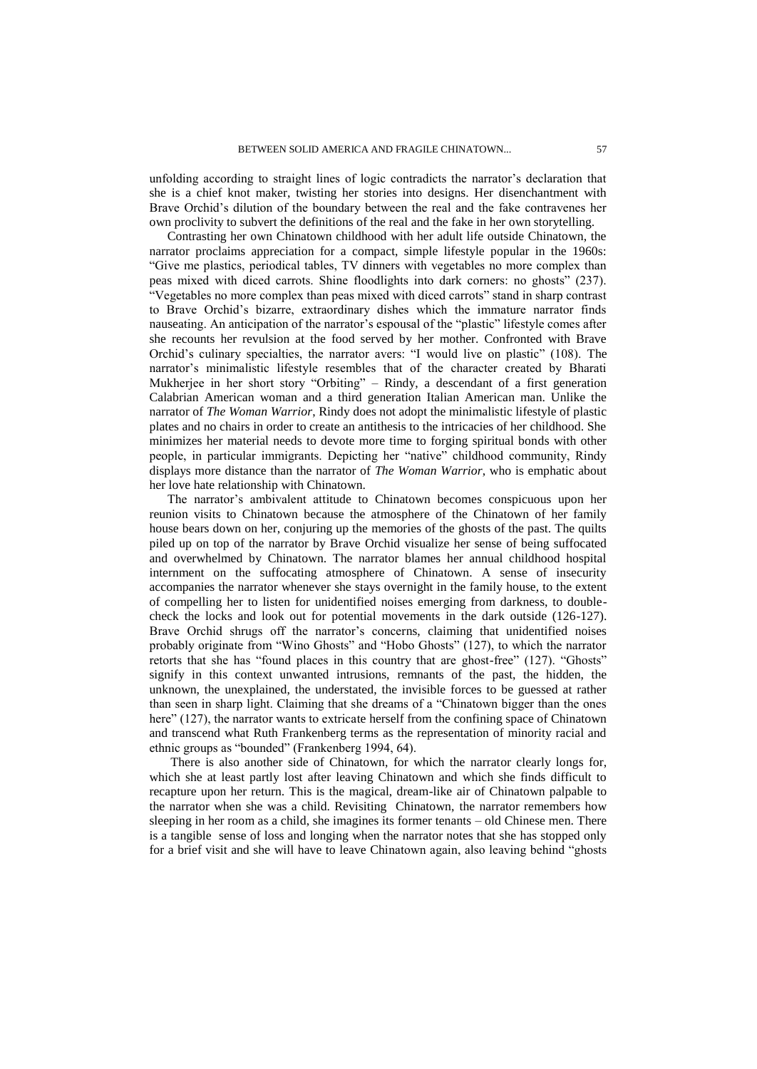unfolding according to straight lines of logic contradicts the narrator's declaration that she is a chief knot maker, twisting her stories into designs. Her disenchantment with Brave Orchid's dilution of the boundary between the real and the fake contravenes her own proclivity to subvert the definitions of the real and the fake in her own storytelling.

Contrasting her own Chinatown childhood with her adult life outside Chinatown, the narrator proclaims appreciation for a compact, simple lifestyle popular in the 1960s: "Give me plastics, periodical tables, TV dinners with vegetables no more complex than peas mixed with diced carrots. Shine floodlights into dark corners: no ghosts" (237). "Vegetables no more complex than peas mixed with diced carrots" stand in sharp contrast to Brave Orchid's bizarre, extraordinary dishes which the immature narrator finds nauseating. An anticipation of the narrator's espousal of the "plastic" lifestyle comes after she recounts her revulsion at the food served by her mother. Confronted with Brave Orchid's culinary specialties, the narrator avers: "I would live on plastic" (108). The narrator's minimalistic lifestyle resembles that of the character created by Bharati Mukherjee in her short story "Orbiting" – Rindy, a descendant of a first generation Calabrian American woman and a third generation Italian American man. Unlike the narrator of *The Woman Warrior*, Rindy does not adopt the minimalistic lifestyle of plastic plates and no chairs in order to create an antithesis to the intricacies of her childhood. She minimizes her material needs to devote more time to forging spiritual bonds with other people, in particular immigrants. Depicting her "native" childhood community, Rindy displays more distance than the narrator of *The Woman Warrior*, who is emphatic about her love hate relationship with Chinatown.

The narrator's ambivalent attitude to Chinatown becomes conspicuous upon her reunion visits to Chinatown because the atmosphere of the Chinatown of her family house bears down on her, conjuring up the memories of the ghosts of the past. The quilts piled up on top of the narrator by Brave Orchid visualize her sense of being suffocated and overwhelmed by Chinatown. The narrator blames her annual childhood hospital internment on the suffocating atmosphere of Chinatown. A sense of insecurity accompanies the narrator whenever she stays overnight in the family house, to the extent of compelling her to listen for unidentified noises emerging from darkness, to doublecheck the locks and look out for potential movements in the dark outside (126-127). Brave Orchid shrugs off the narrator's concerns, claiming that unidentified noises probably originate from "Wino Ghosts" and "Hobo Ghosts" (127), to which the narrator retorts that she has "found places in this country that are ghost-free" (127). "Ghosts" signify in this context unwanted intrusions, remnants of the past, the hidden, the unknown, the unexplained, the understated, the invisible forces to be guessed at rather than seen in sharp light. Claiming that she dreams of a "Chinatown bigger than the ones here" (127), the narrator wants to extricate herself from the confining space of Chinatown and transcend what Ruth Frankenberg terms as the representation of minority racial and ethnic groups as "bounded" (Frankenberg 1994, 64).

There is also another side of Chinatown, for which the narrator clearly longs for, which she at least partly lost after leaving Chinatown and which she finds difficult to recapture upon her return. This is the magical, dream-like air of Chinatown palpable to the narrator when she was a child. Revisiting Chinatown, the narrator remembers how sleeping in her room as a child, she imagines its former tenants – old Chinese men. There is a tangible sense of loss and longing when the narrator notes that she has stopped only for a brief visit and she will have to leave Chinatown again, also leaving behind "ghosts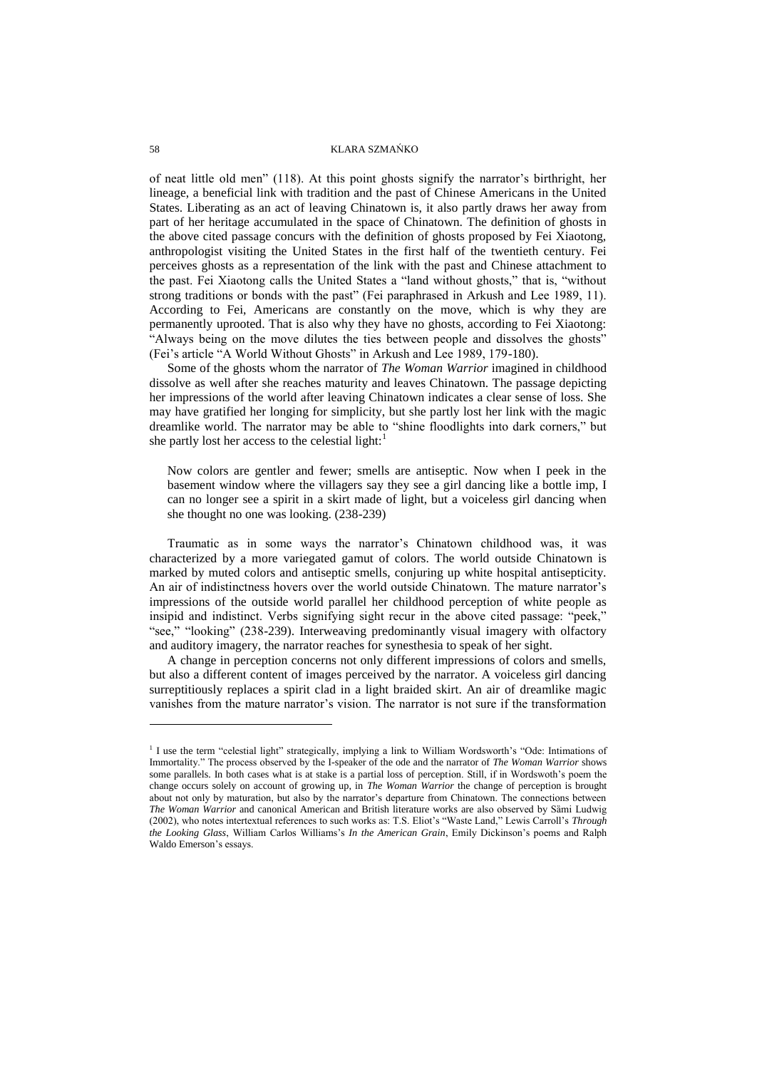of neat little old men" (118). At this point ghosts signify the narrator's birthright, her lineage, a beneficial link with tradition and the past of Chinese Americans in the United States. Liberating as an act of leaving Chinatown is, it also partly draws her away from part of her heritage accumulated in the space of Chinatown. The definition of ghosts in the above cited passage concurs with the definition of ghosts proposed by Fei Xiaotong, anthropologist visiting the United States in the first half of the twentieth century. Fei perceives ghosts as a representation of the link with the past and Chinese attachment to the past. Fei Xiaotong calls the United States a "land without ghosts," that is, "without strong traditions or bonds with the past" (Fei paraphrased in Arkush and Lee 1989, 11). According to Fei, Americans are constantly on the move, which is why they are permanently uprooted. That is also why they have no ghosts, according to Fei Xiaotong: "Always being on the move dilutes the ties between people and dissolves the ghosts" (Fei's article "A World Without Ghosts" in Arkush and Lee 1989, 179-180).

Some of the ghosts whom the narrator of *The Woman Warrior* imagined in childhood dissolve as well after she reaches maturity and leaves Chinatown. The passage depicting her impressions of the world after leaving Chinatown indicates a clear sense of loss. She may have gratified her longing for simplicity, but she partly lost her link with the magic dreamlike world. The narrator may be able to "shine floodlights into dark corners," but she partly lost her access to the celestial light: $<sup>1</sup>$ </sup>

Now colors are gentler and fewer; smells are antiseptic. Now when I peek in the basement window where the villagers say they see a girl dancing like a bottle imp, I can no longer see a spirit in a skirt made of light, but a voiceless girl dancing when she thought no one was looking. (238-239)

Traumatic as in some ways the narrator's Chinatown childhood was, it was characterized by a more variegated gamut of colors. The world outside Chinatown is marked by muted colors and antiseptic smells, conjuring up white hospital antisepticity. An air of indistinctness hovers over the world outside Chinatown. The mature narrator's impressions of the outside world parallel her childhood perception of white people as insipid and indistinct. Verbs signifying sight recur in the above cited passage: "peek," "see," "looking" (238-239). Interweaving predominantly visual imagery with olfactory and auditory imagery, the narrator reaches for synesthesia to speak of her sight.

A change in perception concerns not only different impressions of colors and smells, but also a different content of images perceived by the narrator. A voiceless girl dancing surreptitiously replaces a spirit clad in a light braided skirt. An air of dreamlike magic vanishes from the mature narrator's vision. The narrator is not sure if the transformation

l

<sup>&</sup>lt;sup>1</sup> I use the term "celestial light" strategically, implying a link to William Wordsworth's "Ode: Intimations of Immortality." The process observed by the I-speaker of the ode and the narrator of *The Woman Warrior* shows some parallels. In both cases what is at stake is a partial loss of perception. Still, if in Wordswoth's poem the change occurs solely on account of growing up, in *The Woman Warrior* the change of perception is brought about not only by maturation, but also by the narrator's departure from Chinatown. The connections between *The Woman Warrior* and canonical American and British literature works are also observed by Sȁmi Ludwig (2002), who notes intertextual references to such works as: T.S. Eliot's "Waste Land," Lewis Carroll's *Through the Looking Glass*, William Carlos Williams's *In the American Grain*, Emily Dickinson's poems and Ralph Waldo Emerson's essays.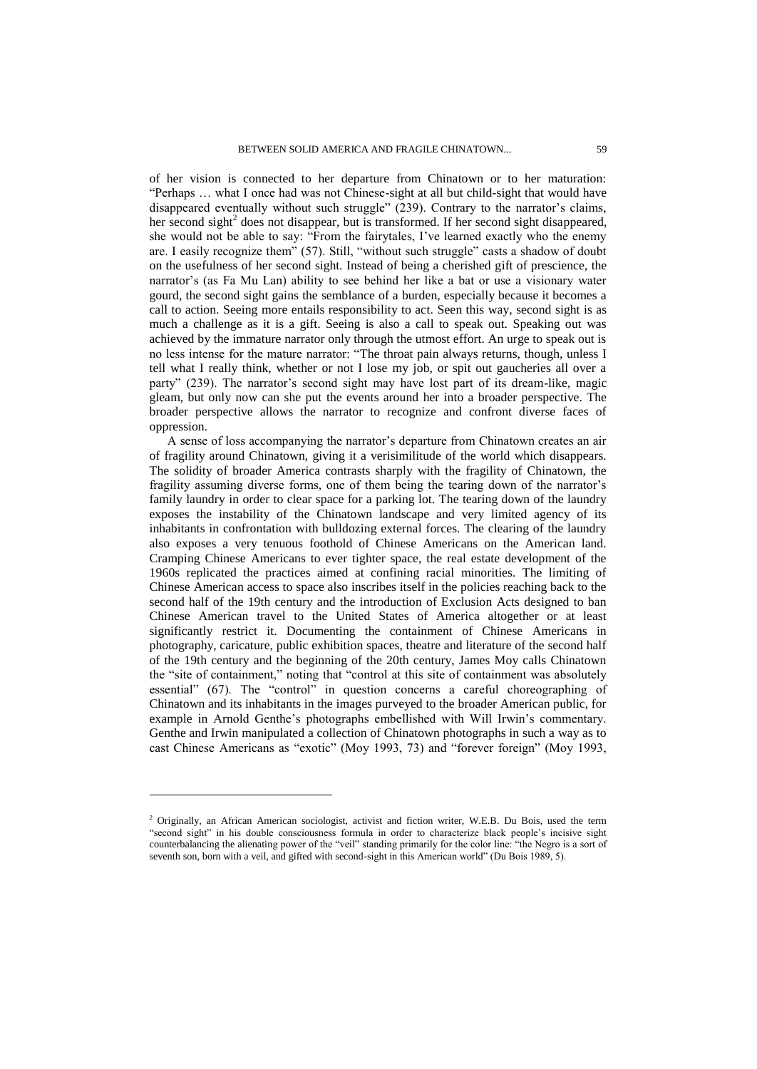of her vision is connected to her departure from Chinatown or to her maturation: "Perhaps … what I once had was not Chinese-sight at all but child-sight that would have disappeared eventually without such struggle" (239). Contrary to the narrator's claims, her second sight<sup>2</sup> does not disappear, but is transformed. If her second sight disappeared, she would not be able to say: "From the fairytales, I've learned exactly who the enemy are. I easily recognize them" (57). Still, "without such struggle" casts a shadow of doubt on the usefulness of her second sight. Instead of being a cherished gift of prescience, the narrator's (as Fa Mu Lan) ability to see behind her like a bat or use a visionary water gourd, the second sight gains the semblance of a burden, especially because it becomes a call to action. Seeing more entails responsibility to act. Seen this way, second sight is as much a challenge as it is a gift. Seeing is also a call to speak out. Speaking out was achieved by the immature narrator only through the utmost effort. An urge to speak out is no less intense for the mature narrator: "The throat pain always returns, though, unless I tell what I really think, whether or not I lose my job, or spit out gaucheries all over a party" (239). The narrator's second sight may have lost part of its dream-like, magic gleam, but only now can she put the events around her into a broader perspective. The broader perspective allows the narrator to recognize and confront diverse faces of oppression.

A sense of loss accompanying the narrator's departure from Chinatown creates an air of fragility around Chinatown, giving it a verisimilitude of the world which disappears. The solidity of broader America contrasts sharply with the fragility of Chinatown, the fragility assuming diverse forms, one of them being the tearing down of the narrator's family laundry in order to clear space for a parking lot. The tearing down of the laundry exposes the instability of the Chinatown landscape and very limited agency of its inhabitants in confrontation with bulldozing external forces. The clearing of the laundry also exposes a very tenuous foothold of Chinese Americans on the American land. Cramping Chinese Americans to ever tighter space, the real estate development of the 1960s replicated the practices aimed at confining racial minorities. The limiting of Chinese American access to space also inscribes itself in the policies reaching back to the second half of the 19th century and the introduction of Exclusion Acts designed to ban Chinese American travel to the United States of America altogether or at least significantly restrict it. Documenting the containment of Chinese Americans in photography, caricature, public exhibition spaces, theatre and literature of the second half of the 19th century and the beginning of the 20th century, James Moy calls Chinatown the "site of containment," noting that "control at this site of containment was absolutely essential" (67). The "control" in question concerns a careful choreographing of Chinatown and its inhabitants in the images purveyed to the broader American public, for example in Arnold Genthe's photographs embellished with Will Irwin's commentary. Genthe and Irwin manipulated a collection of Chinatown photographs in such a way as to cast Chinese Americans as "exotic" (Moy 1993, 73) and "forever foreign" (Moy 1993,

l

 $2$  Originally, an African American sociologist, activist and fiction writer, W.E.B. Du Bois, used the term "second sight" in his double consciousness formula in order to characterize black people's incisive sight counterbalancing the alienating power of the "veil" standing primarily for the color line: "the Negro is a sort of seventh son, born with a veil, and gifted with second-sight in this American world" (Du Bois 1989, 5).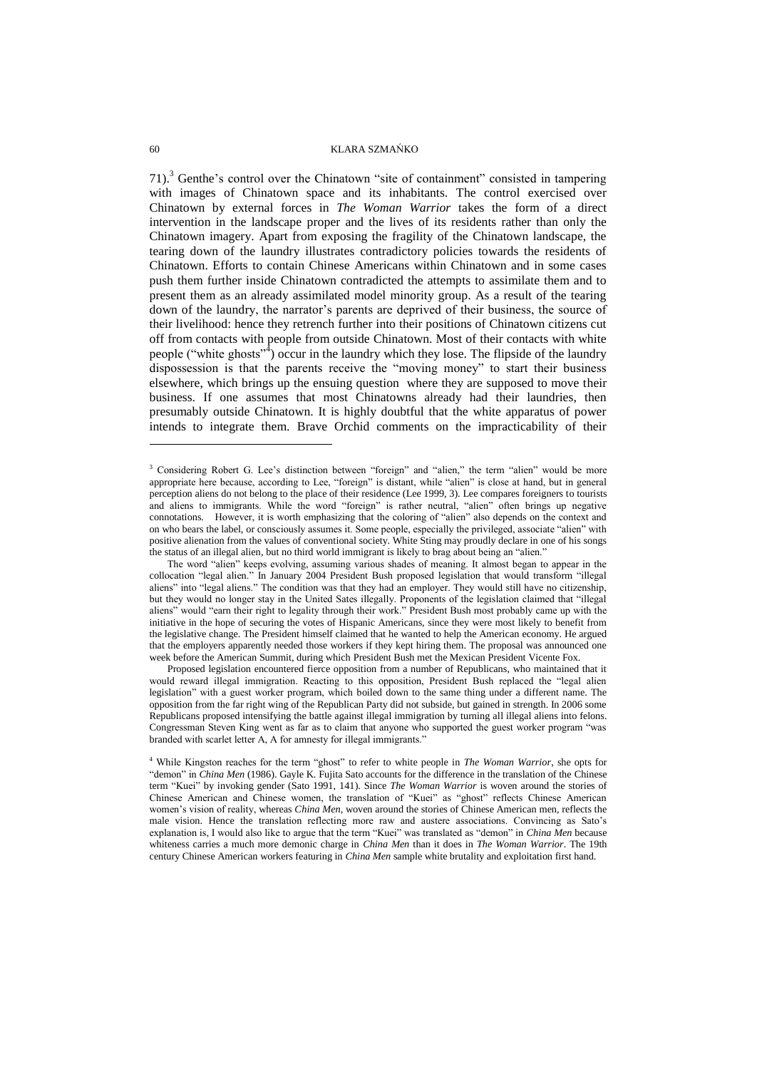71).<sup>3</sup> Genthe's control over the Chinatown "site of containment" consisted in tampering with images of Chinatown space and its inhabitants. The control exercised over Chinatown by external forces in *The Woman Warrior* takes the form of a direct intervention in the landscape proper and the lives of its residents rather than only the Chinatown imagery. Apart from exposing the fragility of the Chinatown landscape, the tearing down of the laundry illustrates contradictory policies towards the residents of Chinatown. Efforts to contain Chinese Americans within Chinatown and in some cases push them further inside Chinatown contradicted the attempts to assimilate them and to present them as an already assimilated model minority group. As a result of the tearing down of the laundry, the narrator's parents are deprived of their business, the source of their livelihood: hence they retrench further into their positions of Chinatown citizens cut off from contacts with people from outside Chinatown. Most of their contacts with white people ("white ghosts"<sup>4</sup>) occur in the laundry which they lose. The flipside of the laundry dispossession is that the parents receive the "moving money" to start their business elsewhere, which brings up the ensuing question where they are supposed to move their business. If one assumes that most Chinatowns already had their laundries, then presumably outside Chinatown. It is highly doubtful that the white apparatus of power intends to integrate them. Brave Orchid comments on the impracticability of their

Proposed legislation encountered fierce opposition from a number of Republicans, who maintained that it would reward illegal immigration. Reacting to this opposition, President Bush replaced the "legal alien legislation" with a guest worker program, which boiled down to the same thing under a different name. The opposition from the far right wing of the Republican Party did not subside, but gained in strength. In 2006 some Republicans proposed intensifying the battle against illegal immigration by turning all illegal aliens into felons. Congressman Steven King went as far as to claim that anyone who supported the guest worker program "was branded with scarlet letter A, A for amnesty for illegal immigrants."

l

<sup>&</sup>lt;sup>3</sup> Considering Robert G. Lee's distinction between "foreign" and "alien," the term "alien" would be more appropriate here because, according to Lee, "foreign" is distant, while "alien" is close at hand, but in general perception aliens do not belong to the place of their residence (Lee 1999, 3). Lee compares foreigners to tourists and aliens to immigrants. While the word "foreign" is rather neutral, "alien" often brings up negative connotations. However, it is worth emphasizing that the coloring of "alien" also depends on the context and on who bears the label, or consciously assumes it. Some people, especially the privileged, associate "alien" with positive alienation from the values of conventional society. White Sting may proudly declare in one of his songs the status of an illegal alien, but no third world immigrant is likely to brag about being an "alien."

The word "alien" keeps evolving, assuming various shades of meaning. It almost began to appear in the collocation "legal alien." In January 2004 President Bush proposed legislation that would transform "illegal aliens" into "legal aliens." The condition was that they had an employer. They would still have no citizenship, but they would no longer stay in the United Sates illegally. Proponents of the legislation claimed that "illegal aliens" would "earn their right to legality through their work." President Bush most probably came up with the initiative in the hope of securing the votes of Hispanic Americans, since they were most likely to benefit from the legislative change. The President himself claimed that he wanted to help the American economy. He argued that the employers apparently needed those workers if they kept hiring them. The proposal was announced one week before the American Summit, during which President Bush met the Mexican President Vicente Fox.

<sup>4</sup> While Kingston reaches for the term "ghost" to refer to white people in *The Woman Warrior*, she opts for "demon" in *China Men* (1986). Gayle K. Fujita Sato accounts for the difference in the translation of the Chinese term "Kuei" by invoking gender (Sato 1991, 141). Since *The Woman Warrior* is woven around the stories of Chinese American and Chinese women, the translation of "Kuei" as "ghost" reflects Chinese American women's vision of reality, whereas *China Men*, woven around the stories of Chinese American men, reflects the male vision. Hence the translation reflecting more raw and austere associations. Convincing as Sato's explanation is, I would also like to argue that the term "Kuei" was translated as "demon" in *China Men* because whiteness carries a much more demonic charge in *China Men* than it does in *The Woman Warrior*. The 19th century Chinese American workers featuring in *China Men* sample white brutality and exploitation first hand.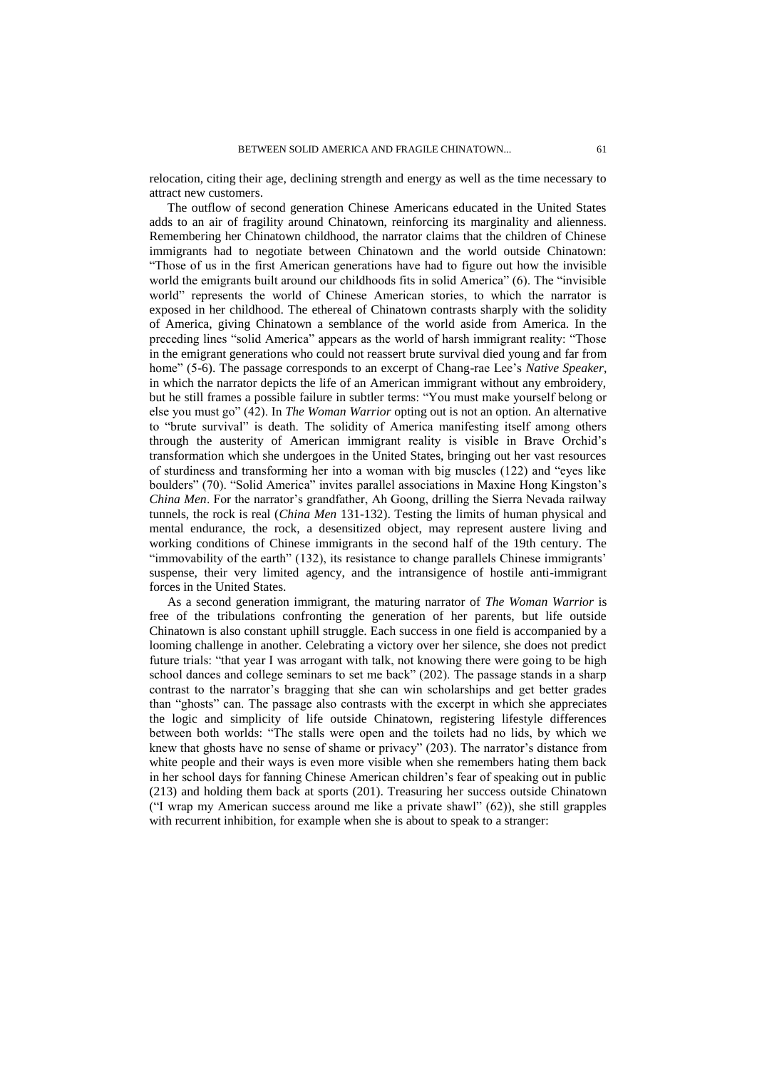relocation, citing their age, declining strength and energy as well as the time necessary to attract new customers.

The outflow of second generation Chinese Americans educated in the United States adds to an air of fragility around Chinatown, reinforcing its marginality and alienness. Remembering her Chinatown childhood, the narrator claims that the children of Chinese immigrants had to negotiate between Chinatown and the world outside Chinatown: "Those of us in the first American generations have had to figure out how the invisible world the emigrants built around our childhoods fits in solid America" (6). The "invisible world" represents the world of Chinese American stories, to which the narrator is exposed in her childhood. The ethereal of Chinatown contrasts sharply with the solidity of America, giving Chinatown a semblance of the world aside from America. In the preceding lines "solid America" appears as the world of harsh immigrant reality: "Those in the emigrant generations who could not reassert brute survival died young and far from home" (5-6). The passage corresponds to an excerpt of Chang-rae Lee's *Native Speaker*, in which the narrator depicts the life of an American immigrant without any embroidery, but he still frames a possible failure in subtler terms: "You must make yourself belong or else you must go" (42). In *The Woman Warrior* opting out is not an option. An alternative to "brute survival" is death. The solidity of America manifesting itself among others through the austerity of American immigrant reality is visible in Brave Orchid's transformation which she undergoes in the United States, bringing out her vast resources of sturdiness and transforming her into a woman with big muscles (122) and "eyes like boulders" (70). "Solid America" invites parallel associations in Maxine Hong Kingston's *China Men*. For the narrator's grandfather, Ah Goong, drilling the Sierra Nevada railway tunnels, the rock is real (*China Men* 131-132). Testing the limits of human physical and mental endurance, the rock, a desensitized object, may represent austere living and working conditions of Chinese immigrants in the second half of the 19th century. The "immovability of the earth" (132), its resistance to change parallels Chinese immigrants' suspense, their very limited agency, and the intransigence of hostile anti-immigrant forces in the United States.

As a second generation immigrant, the maturing narrator of *The Woman Warrior* is free of the tribulations confronting the generation of her parents, but life outside Chinatown is also constant uphill struggle. Each success in one field is accompanied by a looming challenge in another. Celebrating a victory over her silence, she does not predict future trials: "that year I was arrogant with talk, not knowing there were going to be high school dances and college seminars to set me back" (202). The passage stands in a sharp contrast to the narrator's bragging that she can win scholarships and get better grades than "ghosts" can. The passage also contrasts with the excerpt in which she appreciates the logic and simplicity of life outside Chinatown, registering lifestyle differences between both worlds: "The stalls were open and the toilets had no lids, by which we knew that ghosts have no sense of shame or privacy" (203). The narrator's distance from white people and their ways is even more visible when she remembers hating them back in her school days for fanning Chinese American children's fear of speaking out in public (213) and holding them back at sports (201). Treasuring her success outside Chinatown ("I wrap my American success around me like a private shawl" (62)), she still grapples with recurrent inhibition, for example when she is about to speak to a stranger: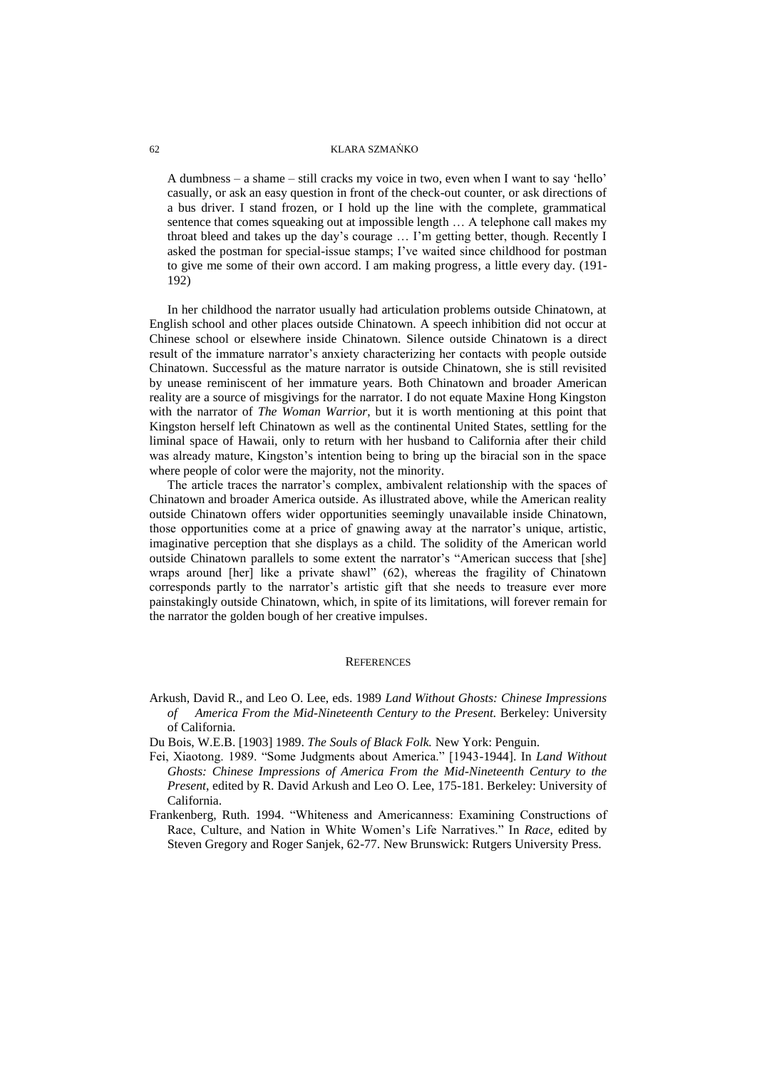A dumbness – a shame – still cracks my voice in two, even when I want to say 'hello' casually, or ask an easy question in front of the check-out counter, or ask directions of a bus driver. I stand frozen, or I hold up the line with the complete, grammatical sentence that comes squeaking out at impossible length … A telephone call makes my throat bleed and takes up the day's courage … I'm getting better, though. Recently I asked the postman for special-issue stamps; I've waited since childhood for postman to give me some of their own accord. I am making progress, a little every day. (191- 192)

In her childhood the narrator usually had articulation problems outside Chinatown, at English school and other places outside Chinatown. A speech inhibition did not occur at Chinese school or elsewhere inside Chinatown. Silence outside Chinatown is a direct result of the immature narrator's anxiety characterizing her contacts with people outside Chinatown. Successful as the mature narrator is outside Chinatown, she is still revisited by unease reminiscent of her immature years. Both Chinatown and broader American reality are a source of misgivings for the narrator. I do not equate Maxine Hong Kingston with the narrator of *The Woman Warrior*, but it is worth mentioning at this point that Kingston herself left Chinatown as well as the continental United States, settling for the liminal space of Hawaii, only to return with her husband to California after their child was already mature, Kingston's intention being to bring up the biracial son in the space where people of color were the majority, not the minority.

The article traces the narrator's complex, ambivalent relationship with the spaces of Chinatown and broader America outside. As illustrated above, while the American reality outside Chinatown offers wider opportunities seemingly unavailable inside Chinatown, those opportunities come at a price of gnawing away at the narrator's unique, artistic, imaginative perception that she displays as a child. The solidity of the American world outside Chinatown parallels to some extent the narrator's "American success that [she] wraps around [her] like a private shawl" (62), whereas the fragility of Chinatown corresponds partly to the narrator's artistic gift that she needs to treasure ever more painstakingly outside Chinatown, which, in spite of its limitations, will forever remain for the narrator the golden bough of her creative impulses.

#### **REFERENCES**

- Arkush, David R., and Leo O. Lee, eds. 1989 *Land Without Ghosts: Chinese Impressions of America From the Mid-Nineteenth Century to the Present.* Berkeley: University of California.
- Du Bois, W.E.B. [1903] 1989. *The Souls of Black Folk.* New York: Penguin.
- Fei, Xiaotong. 1989. "Some Judgments about America." [1943-1944]. In *Land Without Ghosts: Chinese Impressions of America From the Mid-Nineteenth Century to the Present*, edited by R. David Arkush and Leo O. Lee, 175-181. Berkeley: University of California.
- Frankenberg, Ruth. 1994. "Whiteness and Americanness: Examining Constructions of Race, Culture, and Nation in White Women's Life Narratives." In *Race*, edited by Steven Gregory and Roger Sanjek, 62-77. New Brunswick: Rutgers University Press.